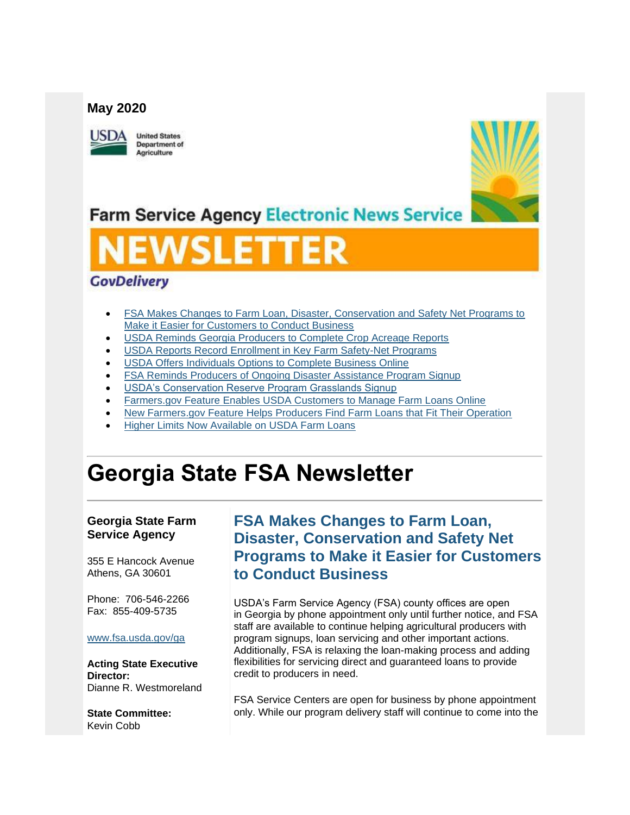#### **May 2020**



**United States Department of** Agriculture



**Farm Service Agency Electronic News Service** 

# WSLETTER

### **GovDelivery**

- [FSA Makes Changes to Farm Loan, Disaster, Conservation and Safety Net Programs to](#page-0-0)  [Make it Easier for Customers to Conduct Business](#page-0-0)
- [USDA Reminds Georgia Producers to Complete Crop Acreage Reports](#page-1-0)
- [USDA Reports Record Enrollment in Key Farm Safety-Net Programs](#page-3-0)
- [USDA Offers Individuals Options to Complete Business Online](#page-3-1)
- [FSA Reminds Producers of Ongoing Disaster Assistance Program Signup](#page-5-0)
- [USDA's Conservation Reserve Program Grasslands Signup](#page-5-1)
- [Farmers.gov Feature Enables USDA Customers to Manage Farm Loans Online](#page-6-0)
- [New Farmers.gov Feature Helps Producers Find Farm Loans that Fit Their Operation](#page-6-1)
- [Higher Limits Now Available on USDA Farm Loans](#page-7-0)

## **Georgia State FSA Newsletter**

#### **Georgia State Farm Service Agency**

355 E Hancock Avenue Athens, GA 30601

Phone: 706-546-2266 Fax: 855-409-5735

#### [www.fsa.usda.gov/ga](https://gcc02.safelinks.protection.outlook.com/?url=http%3A%2F%2Fwww.fsa.usda.gov%2Fxx%3Futm_medium%3Demail%26utm_source%3Dgovdelivery&data=02%7C01%7C%7Cc2a22a6a80644e494cab08d7f73f4f10%7Ced5b36e701ee4ebc867ee03cfa0d4697%7C0%7C0%7C637249723589534308&sdata=rILM5fqNXltdQ%2BFwoB1pcqVevOW8A1BqdcjBYCkeb9E%3D&reserved=0)

**Acting State Executive Director:** Dianne R. Westmoreland

**State Committee:** Kevin Cobb

## <span id="page-0-0"></span>**FSA Makes Changes to Farm Loan, Disaster, Conservation and Safety Net Programs to Make it Easier for Customers to Conduct Business**

USDA's Farm Service Agency (FSA) county offices are open in Georgia by phone appointment only until further notice, and FSA staff are available to continue helping agricultural producers with program signups, loan servicing and other important actions. Additionally, FSA is relaxing the loan-making process and adding flexibilities for servicing direct and guaranteed loans to provide credit to producers in need.

FSA Service Centers are open for business by phone appointment only. While our program delivery staff will continue to come into the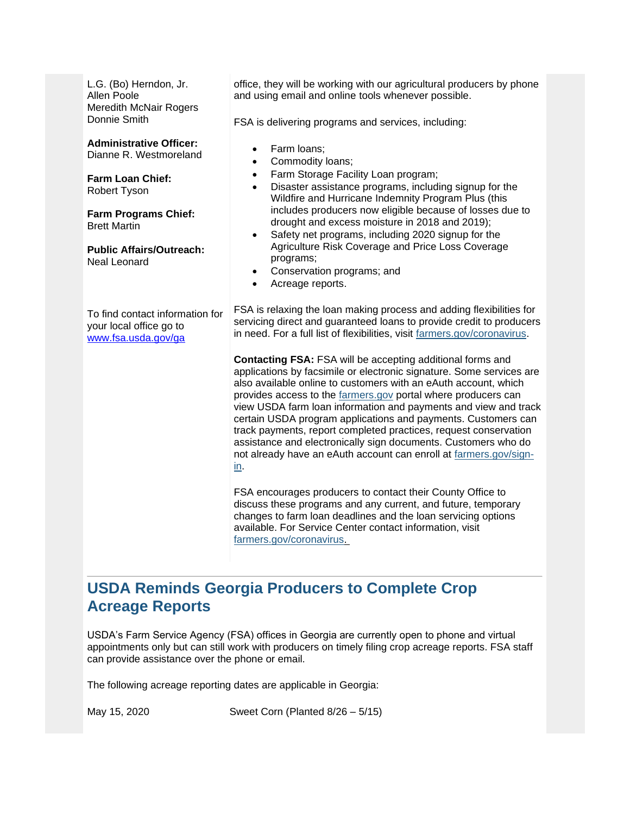L.G. (Bo) Herndon, Jr. Allen Poole Meredith McNair Rogers Donnie Smith

**Administrative Officer:** Dianne R. Westmoreland

**Farm Loan Chief:** Robert Tyson

**Farm Programs Chief:** Brett Martin

**Public Affairs/Outreach:** Neal Leonard

To find contact information for your local office go to [www.fsa.usda.gov/ga](http://www.fsa.usda.gov/ga)

office, they will be working with our agricultural producers by phone and using email and online tools whenever possible.

FSA is delivering programs and services, including:

- Farm loans;
- Commodity loans:
- Farm Storage Facility Loan program;
- Disaster assistance programs, including signup for the Wildfire and Hurricane Indemnity Program Plus (this includes producers now eligible because of losses due to drought and excess moisture in 2018 and 2019);
- Safety net programs, including 2020 signup for the Agriculture Risk Coverage and Price Loss Coverage programs;
- Conservation programs; and
- Acreage reports.

FSA is relaxing the loan making process and adding flexibilities for servicing direct and guaranteed loans to provide credit to producers in need. For a full list of flexibilities, visit [farmers.gov/coronavirus.](http://www.farmers.gov/coronavirus?utm_medium=email&utm_source=govdelivery)

**Contacting FSA:** FSA will be accepting additional forms and applications by facsimile or electronic signature. Some services are also available online to customers with an eAuth account, which provides access to the [farmers.gov](http://www.farmers.gov/?utm_medium=email&utm_source=govdelivery) portal where producers can view USDA farm loan information and payments and view and track certain USDA program applications and payments. Customers can track payments, report completed practices, request conservation assistance and electronically sign documents. Customers who do not already have an eAuth account can enroll at [farmers.gov/sign](https://www.farmers.gov/sign-in?utm_medium=email&utm_source=govdelivery)[in.](https://www.farmers.gov/sign-in?utm_medium=email&utm_source=govdelivery)

FSA encourages producers to contact their County Office to discuss these programs and any current, and future, temporary changes to farm loan deadlines and the loan servicing options available. For Service Center contact information, visit [farmers.gov/coronavirus.](https://www.farmers.gov/coronavirus?utm_medium=email&utm_source=govdelivery)

## <span id="page-1-0"></span>**USDA Reminds Georgia Producers to Complete Crop Acreage Reports**

USDA's Farm Service Agency (FSA) offices in Georgia are currently open to phone and virtual appointments only but can still work with producers on timely filing crop acreage reports. FSA staff can provide assistance over the phone or email.

The following acreage reporting dates are applicable in Georgia:

May 15, 2020 Sweet Corn (Planted 8/26 – 5/15)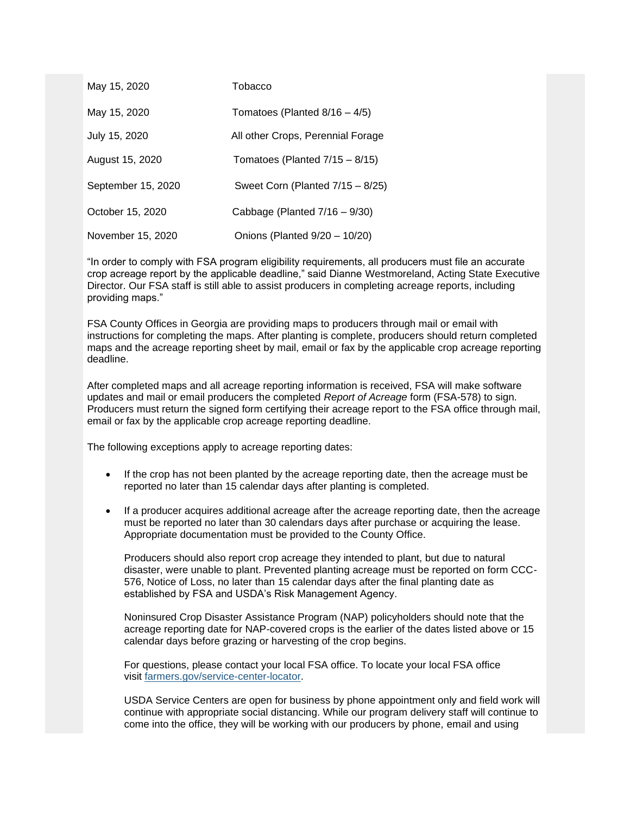| May 15, 2020       | Tobacco                           |
|--------------------|-----------------------------------|
| May 15, 2020       | Tomatoes (Planted $8/16 - 4/5$ )  |
| July 15, 2020      | All other Crops, Perennial Forage |
| August 15, 2020    | Tomatoes (Planted $7/15 - 8/15$ ) |
| September 15, 2020 | Sweet Corn (Planted 7/15 - 8/25)  |
| October 15, 2020   | Cabbage (Planted $7/16 - 9/30$ )  |
| November 15, 2020  | Onions (Planted 9/20 - 10/20)     |

"In order to comply with FSA program eligibility requirements, all producers must file an accurate crop acreage report by the applicable deadline," said Dianne Westmoreland, Acting State Executive Director. Our FSA staff is still able to assist producers in completing acreage reports, including providing maps."

FSA County Offices in Georgia are providing maps to producers through mail or email with instructions for completing the maps. After planting is complete, producers should return completed maps and the acreage reporting sheet by mail, email or fax by the applicable crop acreage reporting deadline.

After completed maps and all acreage reporting information is received, FSA will make software updates and mail or email producers the completed *Report of Acreage* form (FSA-578) to sign. Producers must return the signed form certifying their acreage report to the FSA office through mail. email or fax by the applicable crop acreage reporting deadline.

The following exceptions apply to acreage reporting dates:

- If the crop has not been planted by the acreage reporting date, then the acreage must be reported no later than 15 calendar days after planting is completed.
- If a producer acquires additional acreage after the acreage reporting date, then the acreage must be reported no later than 30 calendars days after purchase or acquiring the lease. Appropriate documentation must be provided to the County Office.

Producers should also report crop acreage they intended to plant, but due to natural disaster, were unable to plant. Prevented planting acreage must be reported on form CCC-576, Notice of Loss, no later than 15 calendar days after the final planting date as established by FSA and USDA's Risk Management Agency.

Noninsured Crop Disaster Assistance Program (NAP) policyholders should note that the acreage reporting date for NAP-covered crops is the earlier of the dates listed above or 15 calendar days before grazing or harvesting of the crop begins.

For questions, please contact your local FSA office. To locate your local FSA office visit [farmers.gov/service-center-locator.](https://www.farmers.gov/service-center-locator?utm_medium=email&utm_source=govdelivery)

USDA Service Centers are open for business by phone appointment only and field work will continue with appropriate social distancing. While our program delivery staff will continue to come into the office, they will be working with our producers by phone, email and using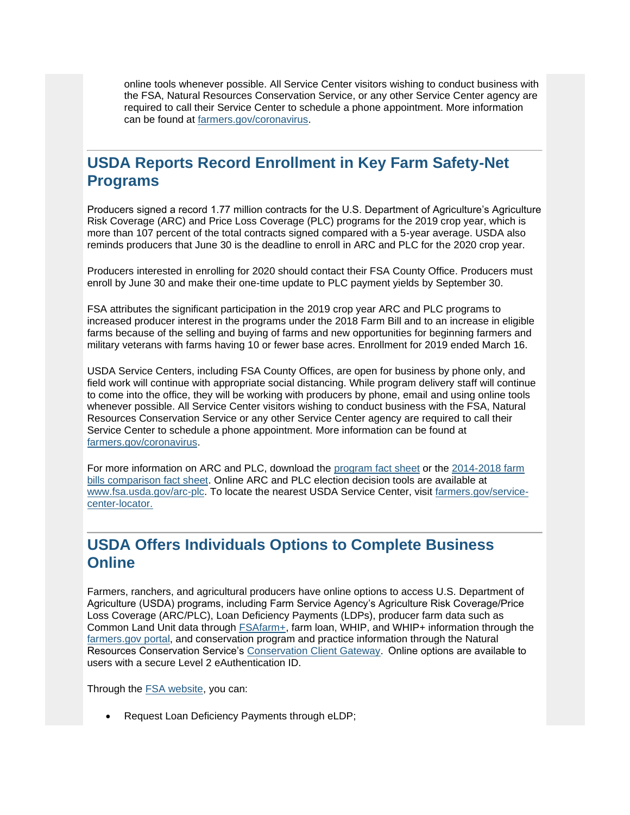online tools whenever possible. All Service Center visitors wishing to conduct business with the FSA, Natural Resources Conservation Service, or any other Service Center agency are required to call their Service Center to schedule a phone appointment. More information can be found at [farmers.gov/coronavirus.](http://www.farmers.gov/coronavirus?utm_medium=email&utm_source=govdelivery)

## <span id="page-3-0"></span>**USDA Reports Record Enrollment in Key Farm Safety-Net Programs**

Producers signed a record 1.77 million contracts for the U.S. Department of Agriculture's Agriculture Risk Coverage (ARC) and Price Loss Coverage (PLC) programs for the 2019 crop year, which is more than 107 percent of the total contracts signed compared with a 5-year average. USDA also reminds producers that June 30 is the deadline to enroll in ARC and PLC for the 2020 crop year.

Producers interested in enrolling for 2020 should contact their FSA County Office. Producers must enroll by June 30 and make their one-time update to PLC payment yields by September 30.

FSA attributes the significant participation in the 2019 crop year ARC and PLC programs to increased producer interest in the programs under the 2018 Farm Bill and to an increase in eligible farms because of the selling and buying of farms and new opportunities for beginning farmers and military veterans with farms having 10 or fewer base acres. Enrollment for 2019 ended March 16.

USDA Service Centers, including FSA County Offices, are open for business by phone only, and field work will continue with appropriate social distancing. While program delivery staff will continue to come into the office, they will be working with producers by phone, email and using online tools whenever possible. All Service Center visitors wishing to conduct business with the FSA, Natural Resources Conservation Service or any other Service Center agency are required to call their Service Center to schedule a phone appointment. More information can be found at [farmers.gov/coronavirus.](http://www.farmers.gov/coronavirus?utm_medium=email&utm_source=govdelivery)

For more information on ARC and PLC, download the [program fact sheet](https://gcc02.safelinks.protection.outlook.com/?data=02%7C01%7C%7Cb95186d671f540dcae6108d7e5fdcef6%7Ced5b36e701ee4ebc867ee03cfa0d4697%7C0%7C0%7C637230750571522006&reserved=0&sdata=98wwKAXN0mStBNh26aTqEX6QzifV4WBN5e6U9Tz3tFk%3D&url=https%3A%2F%2Fwww.fsa.usda.gov%2FAssets%2FUSDA-FSA-Public%2Fusdafiles%2FFactSheets%2F2019%2Farc-plc_overview_fact_sheet-aug_2019.pdf%3Futm_medium%3Demail%26utm_source%3Dgovdelivery&utm_medium=email&utm_source=govdelivery) or the 2014-2018 farm [bills comparison fact sheet.](https://gcc02.safelinks.protection.outlook.com/?data=02%7C01%7C%7Cb95186d671f540dcae6108d7e5fdcef6%7Ced5b36e701ee4ebc867ee03cfa0d4697%7C0%7C0%7C637230750571531958&reserved=0&sdata=kUa3eNhRushi68VdV0elqGnvucHSEwHPQvxBFQSHsto%3D&url=https%3A%2F%2Fwww.fsa.usda.gov%2FAssets%2FUSDA-FSA-Public%2Fusdafiles%2FFactSheets%2F2019%2Farc-plc_farm_bill_comparisons-fact_sheet-aug-2019.pdf%3Futm_medium%3Demail%26utm_source%3Dgovdelivery&utm_medium=email&utm_source=govdelivery) Online ARC and PLC election decision tools are available at [www.fsa.usda.gov/arc-plc.](https://gcc02.safelinks.protection.outlook.com/?data=02%7C01%7C%7Cb95186d671f540dcae6108d7e5fdcef6%7Ced5b36e701ee4ebc867ee03cfa0d4697%7C0%7C0%7C637230750571531958&reserved=0&sdata=AD%2BEua970dOvX0wWvs4eTWH2hBls8JSgB2RsU0DPRHk%3D&url=http%3A%2F%2Fwww.fsa.usda.gov%2Farc-plc%3Futm_medium%3Demail%26utm_source%3Dgovdelivery&utm_medium=email&utm_source=govdelivery) To locate the nearest USDA Service Center, visit [farmers.gov/service](http://www.farmers.gov/service-center-locator?utm_medium=email&utm_source=govdelivery)[center-locator.](http://www.farmers.gov/service-center-locator?utm_medium=email&utm_source=govdelivery)

## <span id="page-3-1"></span>**USDA Offers Individuals Options to Complete Business Online**

Farmers, ranchers, and agricultural producers have online options to access U.S. Department of Agriculture (USDA) programs, including Farm Service Agency's Agriculture Risk Coverage/Price Loss Coverage (ARC/PLC), Loan Deficiency Payments (LDPs), producer farm data such as Common Land Unit data through [FSAfarm+,](https://gcc02.safelinks.protection.outlook.com/?url=https%3A%2F%2Fwww.fsa.usda.gov%2Fonline-services%2Ffarm-plus%2Findex%3Futm_medium%3Demail%26utm_source%3Dgovdelivery&data=02%7C01%7C%7Cc2a22a6a80644e494cab08d7f73f4f10%7Ced5b36e701ee4ebc867ee03cfa0d4697%7C0%7C0%7C637249723589544271&sdata=iqzvL9ZMA%2Fg5%2BftDtC7XbPkZ6EgmznE0YB7wyclE0cE%3D&reserved=0) farm loan, WHIP, and WHIP+ information through the [farmers.gov portal,](https://www.farmers.gov/sign-in?utm_medium=email&utm_source=govdelivery) and conservation program and practice information through the Natural Resources Conservation Service's [Conservation Client Gateway.](https://gcc02.safelinks.protection.outlook.com/?url=https%3A%2F%2Fwww.nrcs.usda.gov%2Fwps%2Fportal%2Fnrcs%2Fmain%2Fnational%2Fcgate%2F%3Futm_medium%3Demail%26utm_source%3Dgovdelivery&data=02%7C01%7C%7Cc2a22a6a80644e494cab08d7f73f4f10%7Ced5b36e701ee4ebc867ee03cfa0d4697%7C0%7C0%7C637249723589544271&sdata=LBuP8nWjztsOshOC0Ar3mKlFjUndTaAnCb0yWs7jEm0%3D&reserved=0)  Online options are available to users with a secure Level 2 eAuthentication ID.

Through the [FSA website,](https://gcc02.safelinks.protection.outlook.com/?url=https%3A%2F%2Fwww.fsa.usda.gov%2F%3Futm_medium%3Demail%26utm_source%3Dgovdelivery&data=02%7C01%7C%7Cc2a22a6a80644e494cab08d7f73f4f10%7Ced5b36e701ee4ebc867ee03cfa0d4697%7C0%7C0%7C637249723589554223&sdata=rSzHlhY0Rwf1glKG1SR9BFZvFGDoVloCSJstE5Pxcp4%3D&reserved=0) you can:

• Request Loan Deficiency Payments through eLDP;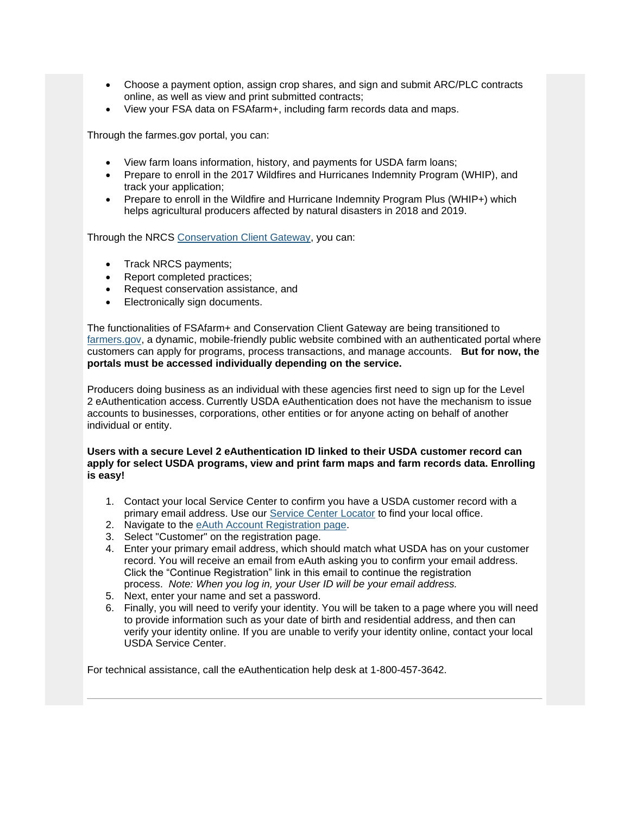- Choose a payment option, assign crop shares, and sign and submit ARC/PLC contracts online, as well as view and print submitted contracts;
- View your FSA data on FSAfarm+, including farm records data and maps.

Through the farmes.gov portal, you can:

- View farm loans information, history, and payments for USDA farm loans;
- Prepare to enroll in the 2017 Wildfires and Hurricanes Indemnity Program (WHIP), and track your application;
- Prepare to enroll in the Wildfire and Hurricane Indemnity Program Plus (WHIP+) which helps agricultural producers affected by natural disasters in 2018 and 2019.

Through the NRCS [Conservation Client Gateway,](https://gcc02.safelinks.protection.outlook.com/?url=https%3A%2F%2Fwww.nrcs.usda.gov%2Fwps%2Fportal%2Fnrcs%2Fmain%2Fnational%2Fcgate%2F%3Futm_medium%3Demail%26utm_source%3Dgovdelivery&data=02%7C01%7C%7Cc2a22a6a80644e494cab08d7f73f4f10%7Ced5b36e701ee4ebc867ee03cfa0d4697%7C0%7C0%7C637249723589554223&sdata=x3HttqHdovRolWy1TP%2FbOug%2FVeJCN9o9lJOqMArowOM%3D&reserved=0) you can:

- Track NRCS payments;
- Report completed practices;
- Request conservation assistance, and
- Electronically sign documents.

The functionalities of FSAfarm+ and Conservation Client Gateway are being transitioned to [farmers.gov,](http://www.farmers.gov/?utm_medium=email&utm_source=govdelivery) a dynamic, mobile-friendly public website combined with an authenticated portal where customers can apply for programs, process transactions, and manage accounts. **But for now, the portals must be accessed individually depending on the service.**

Producers doing business as an individual with these agencies first need to sign up for the Level 2 eAuthentication access. Currently USDA eAuthentication does not have the mechanism to issue accounts to businesses, corporations, other entities or for anyone acting on behalf of another individual or entity.

#### **Users with a secure Level 2 eAuthentication ID linked to their USDA customer record can apply for select USDA programs, view and print farm maps and farm records data. Enrolling is easy!**

- 1. Contact your local Service Center to confirm you have a USDA customer record with a primary email address. Use our [Service Center Locator](https://www.farmers.gov/service-center-locator?utm_medium=email&utm_source=govdelivery) to find your local office.
- 2. Navigate to the eAuth [Account Registration page.](https://gcc02.safelinks.protection.outlook.com/?url=https%3A%2F%2Fwww.eauth.usda.gov%2Feauth%2Fb%2Fusda%2Fregistration%3Futm_medium%3Demail%26utm_source%3Dgovdelivery&data=02%7C01%7C%7Cc2a22a6a80644e494cab08d7f73f4f10%7Ced5b36e701ee4ebc867ee03cfa0d4697%7C0%7C0%7C637249723589564174&sdata=j9LAVnpvV9b64Sn7YKu%2F8BNGg6WQkH8S9ZcykpU9Nx4%3D&reserved=0)
- 3. Select "Customer" on the registration page.
- 4. Enter your primary email address, which should match what USDA has on your customer record. You will receive an email from eAuth asking you to confirm your email address. Click the "Continue Registration" link in this email to continue the registration process. *Note: When you log in, your User ID will be your email address.*
- 5. Next, enter your name and set a password.
- 6. Finally, you will need to verify your identity. You will be taken to a page where you will need to provide information such as your date of birth and residential address, and then can verify your identity online. If you are unable to verify your identity online, contact your local USDA Service Center.

For technical assistance, call the eAuthentication help desk at 1-800-457-3642.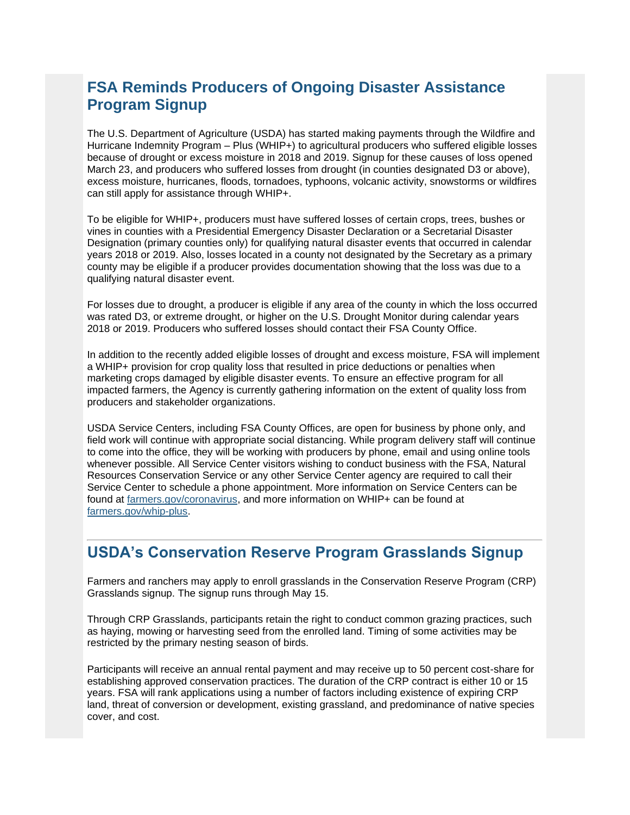## <span id="page-5-0"></span>**FSA Reminds Producers of Ongoing Disaster Assistance Program Signup**

The U.S. Department of Agriculture (USDA) has started making payments through the Wildfire and Hurricane Indemnity Program – Plus (WHIP+) to agricultural producers who suffered eligible losses because of drought or excess moisture in 2018 and 2019. Signup for these causes of loss opened March 23, and producers who suffered losses from drought (in counties designated D3 or above), excess moisture, hurricanes, floods, tornadoes, typhoons, volcanic activity, snowstorms or wildfires can still apply for assistance through WHIP+.

To be eligible for WHIP+, producers must have suffered losses of certain crops, trees, bushes or vines in counties with a Presidential Emergency Disaster Declaration or a Secretarial Disaster Designation (primary counties only) for qualifying natural disaster events that occurred in calendar years 2018 or 2019. Also, losses located in a county not designated by the Secretary as a primary county may be eligible if a producer provides documentation showing that the loss was due to a qualifying natural disaster event.

For losses due to drought, a producer is eligible if any area of the county in which the loss occurred was rated D3, or extreme drought, or higher on the U.S. Drought Monitor during calendar years 2018 or 2019. Producers who suffered losses should contact their FSA County Office.

In addition to the recently added eligible losses of drought and excess moisture, FSA will implement a WHIP+ provision for crop quality loss that resulted in price deductions or penalties when marketing crops damaged by eligible disaster events. To ensure an effective program for all impacted farmers, the Agency is currently gathering information on the extent of quality loss from producers and stakeholder organizations.

USDA Service Centers, including FSA County Offices, are open for business by phone only, and field work will continue with appropriate social distancing. While program delivery staff will continue to come into the office, they will be working with producers by phone, email and using online tools whenever possible. All Service Center visitors wishing to conduct business with the FSA, Natural Resources Conservation Service or any other Service Center agency are required to call their Service Center to schedule a phone appointment. More information on Service Centers can be found at [farmers.gov/coronavirus,](http://www.farmers.gov/coronavirus?utm_medium=email&utm_source=govdelivery) and more information on WHIP+ can be found at [farmers.gov/whip-plus.](http://www.farmers.gov/whip-plus?utm_medium=email&utm_source=govdelivery)

## <span id="page-5-1"></span>**USDA's Conservation Reserve Program Grasslands Signup**

Farmers and ranchers may apply to enroll grasslands in the Conservation Reserve Program (CRP) Grasslands signup. The signup runs through May 15.

Through CRP Grasslands, participants retain the right to conduct common grazing practices, such as haying, mowing or harvesting seed from the enrolled land. Timing of some activities may be restricted by the primary nesting season of birds.

Participants will receive an annual rental payment and may receive up to 50 percent cost-share for establishing approved conservation practices. The duration of the CRP contract is either 10 or 15 years. FSA will rank applications using a number of factors including existence of expiring CRP land, threat of conversion or development, existing grassland, and predominance of native species cover, and cost.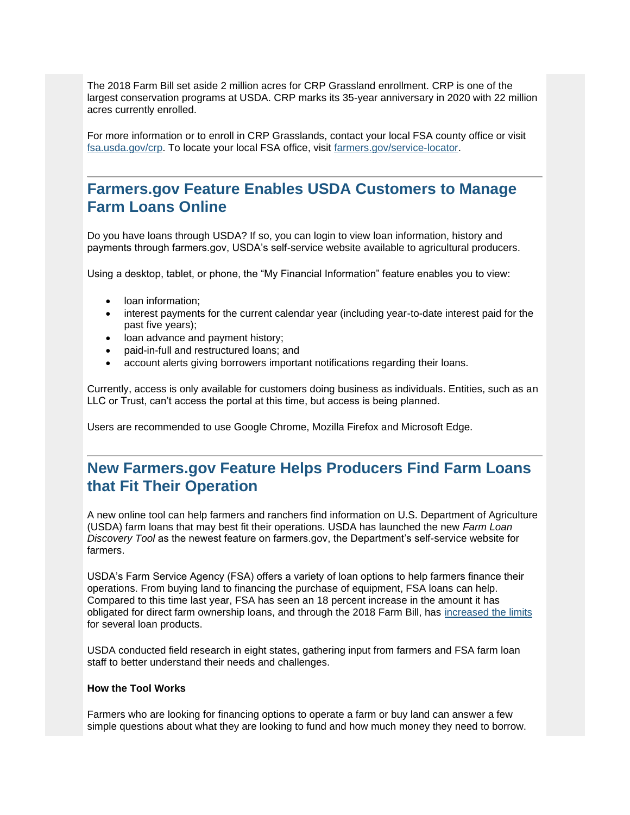The 2018 Farm Bill set aside 2 million acres for CRP Grassland enrollment. CRP is one of the largest conservation programs at USDA. CRP marks its 35-year anniversary in 2020 with 22 million acres currently enrolled.

For more information or to enroll in CRP Grasslands, contact your local FSA county office or visit [fsa.usda.gov/crp.](https://gcc02.safelinks.protection.outlook.com/?url=https%3A%2F%2Fwww.fsa.usda.gov%2Fprograms-and-services%2Fconservation-programs%2Fconservation-reserve-program%2Findex%3Futm_medium%3Demail%26utm_source%3Dgovdelivery&data=02%7C01%7C%7Cc2a22a6a80644e494cab08d7f73f4f10%7Ced5b36e701ee4ebc867ee03cfa0d4697%7C0%7C0%7C637249723589564174&sdata=%2FUEn1wash1Xxc2KEmEZnahVp9m8V5ROgZo9VUDWQQZ4%3D&reserved=0) To locate your local FSA office, visit [farmers.gov/service-locator.](https://www.farmers.gov/service-center-locator?utm_medium=email&utm_source=govdelivery)

## <span id="page-6-0"></span>**Farmers.gov Feature Enables USDA Customers to Manage Farm Loans Online**

Do you have loans through USDA? If so, you can login to view loan information, history and payments through farmers.gov, USDA's self-service website available to agricultural producers.

Using a desktop, tablet, or phone, the "My Financial Information" feature enables you to view:

- loan information;
- interest payments for the current calendar year (including year-to-date interest paid for the past five years);
- loan advance and payment history;
- paid-in-full and restructured loans; and
- account alerts giving borrowers important notifications regarding their loans.

Currently, access is only available for customers doing business as individuals. Entities, such as an LLC or Trust, can't access the portal at this time, but access is being planned.

Users are recommended to use Google Chrome, Mozilla Firefox and Microsoft Edge.

## <span id="page-6-1"></span>**New Farmers.gov Feature Helps Producers Find Farm Loans that Fit Their Operation**

A new online tool can help farmers and ranchers find information on U.S. Department of Agriculture (USDA) farm loans that may best fit their operations. USDA has launched the new *Farm Loan Discovery Tool* as the newest feature on farmers.gov, the Department's self-service website for farmers.

USDA's Farm Service Agency (FSA) offers a variety of loan options to help farmers finance their operations. From buying land to financing the purchase of equipment, FSA loans can help. Compared to this time last year, FSA has seen an 18 percent increase in the amount it has obligated for direct farm ownership loans, and through the 2018 Farm Bill, has [increased the limits](https://gcc02.safelinks.protection.outlook.com/?url=https%3A%2F%2Fwww.fsa.usda.gov%2Fnews-room%2Fnews-releases%2F2019%2Fhigher-limits-now-available-on-usda-farm-loans%3Futm_medium%3Demail%26utm_source%3Dgovdelivery&data=02%7C01%7C%7Cc2a22a6a80644e494cab08d7f73f4f10%7Ced5b36e701ee4ebc867ee03cfa0d4697%7C0%7C0%7C637249723589574132&sdata=JqcE%2Bp95ay5tZLo02BjLpvS21g3RrxZ71mQ%2FlkOyGWw%3D&reserved=0) for several loan products.

USDA conducted field research in eight states, gathering input from farmers and FSA farm loan staff to better understand their needs and challenges.

#### **How the Tool Works**

Farmers who are looking for financing options to operate a farm or buy land can answer a few simple questions about what they are looking to fund and how much money they need to borrow.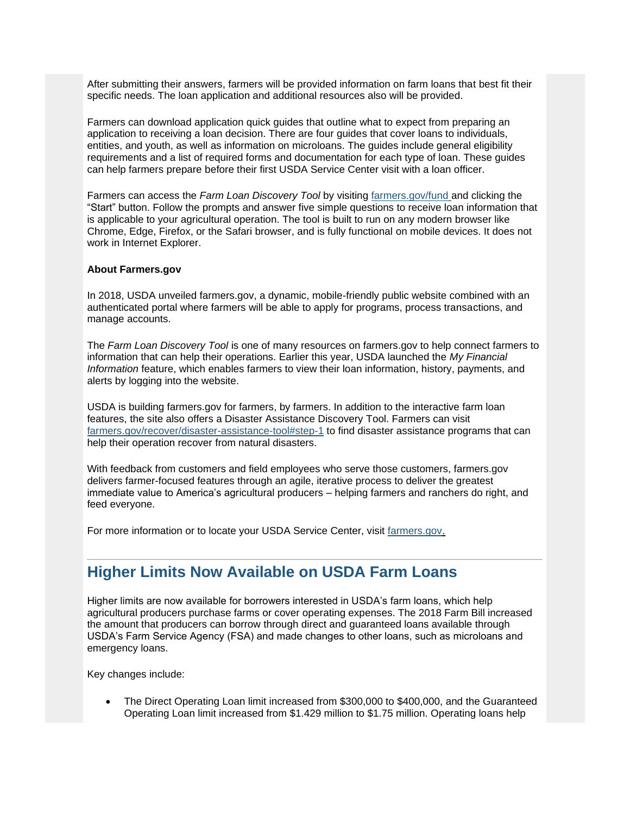After submitting their answers, farmers will be provided information on farm loans that best fit their specific needs. The loan application and additional resources also will be provided.

Farmers can download application quick guides that outline what to expect from preparing an application to receiving a loan decision. There are four guides that cover loans to individuals, entities, and youth, as well as information on microloans. The guides include general eligibility requirements and a list of required forms and documentation for each type of loan. These guides can help farmers prepare before their first USDA Service Center visit with a loan officer.

Farmers can access the *Farm Loan Discovery Tool* by visiting [farmers.gov/fund](https://www.farmers.gov/fund?utm_medium=email&utm_source=govdelivery) and clicking the "Start" button. Follow the prompts and answer five simple questions to receive loan information that is applicable to your agricultural operation. The tool is built to run on any modern browser like Chrome, Edge, Firefox, or the Safari browser, and is fully functional on mobile devices. It does not work in Internet Explorer.

#### **About Farmers.gov**

In 2018, USDA unveiled farmers.gov, a dynamic, mobile-friendly public website combined with an authenticated portal where farmers will be able to apply for programs, process transactions, and manage accounts.

The *Farm Loan Discovery Tool* is one of many resources on farmers.gov to help connect farmers to information that can help their operations. Earlier this year, USDA launched the *My Financial Information* feature, which enables farmers to view their loan information, history, payments, and alerts by logging into the website.

USDA is building farmers.gov for farmers, by farmers. In addition to the interactive farm loan features, the site also offers a Disaster Assistance Discovery Tool. Farmers can visit [farmers.gov/recover/disaster-assistance-tool#step-1](https://www.farmers.gov/recover/disaster-assistance-tool?utm_medium=email&utm_source=govdelivery#step-1) to find disaster assistance programs that can help their operation recover from natural disasters.

With feedback from customers and field employees who serve those customers, farmers.gov delivers farmer-focused features through an agile, iterative process to deliver the greatest immediate value to America's agricultural producers – helping farmers and ranchers do right, and feed everyone.

For more information or to locate your USDA Service Center, visit [farmers.gov.](https://www.farmers.gov/?utm_medium=email&utm_source=govdelivery)

## <span id="page-7-0"></span>**Higher Limits Now Available on USDA Farm Loans**

Higher limits are now available for borrowers interested in USDA's farm loans, which help agricultural producers purchase farms or cover operating expenses. The 2018 Farm Bill increased the amount that producers can borrow through direct and guaranteed loans available through USDA's Farm Service Agency (FSA) and made changes to other loans, such as microloans and emergency loans.

Key changes include:

• The Direct Operating Loan limit increased from \$300,000 to \$400,000, and the Guaranteed Operating Loan limit increased from \$1.429 million to \$1.75 million. Operating loans help